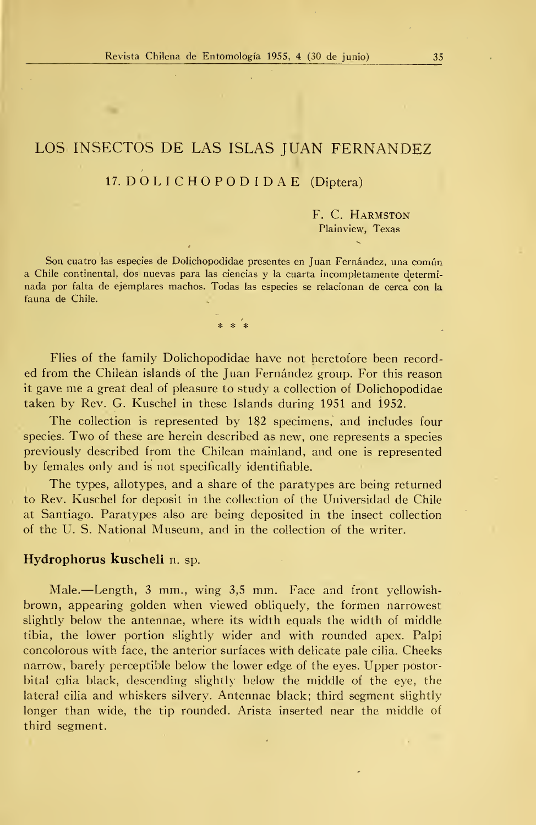# LOS INSECTOS DE LAS ISLAS JUAN FERNANDEZ

### 17. DOLICHOPODIDAE (Díptera)

F. C. Harmston Plainview, Texas

Son cuatro las especies de Dolichopodidae presentes en Juan Fernández, una común a Chile continental, dos nuevas para las ciencias y la cuarta incompletamente determi nada por falta de ejemplares machos. Todas las especies se relacionan de cerca con la fauna de Chile.

 $* * * *$ 

Flies of the family Dolichopodidae have not heretofore been record ed from the Chilean islands of the Juan Fernández group. For this reason it gave me a great deal of pleasure to study a collection of Dolichopodidae taken by Rev. G. Kuschel in these Islands during 1951 and 1952.

The collection is represented by 182 specimens, and includes four species. Two of these are herein described as new, one represents <sup>a</sup> species previously described from the Chilean mainland, and one is represented by témales only and is not specifically identifiable.

The types, allotypes, and a share of the paratypes are being returned to Rev. Kuschel for deposit in the collection of the Universidad de Chile at Santiago. Paratypes also are being deposited in the insect collection of the U. S. National Museum, and in the collection of the writer.

## Hydrophorus kuscheli n. sp.

Male.—Length, <sup>3</sup> mm., wing 3,5 mm. Face and front yellowishbrown, appearing golden when viewed obliquely, the formen narrowest slightly below the antennae, where its width equals the width of middle tibia, the lower portion slightly wider and with rounded apex. Palpi concolorous with face, the anterior surfaces with delicate palé cilia. Cheeks narrow, barely perceptible below the lower edge of the eyes. Upper postorbital cilia black, descending slightly below the middle of the eye, the lateral cilia and whiskers silvery. Antennae black; third segment slightly longer than wide, the tip rounded. Arista inserted near the middle of third segment.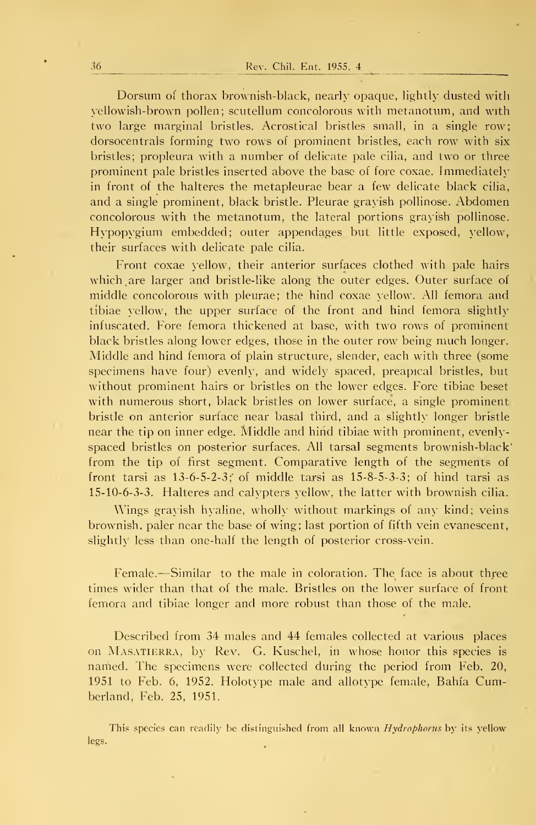Dorsum of thorax brownish-black, nearly opaque, lightly dusted with \'ellowish-brown pollen; scutellum concolorous with metanotum, and with two large marginal bristles. Acrostical bristles small, in a single row; dorsocentrals forming two rows of prominent bristles, each row with six bristles; propleura with a number of delicate pale cilia, and two or three prominent palé bristles inserted above the base of fore coxae. Immediateh' in front of the halteres the metapleurae bear a few delicate black cilia, and a single prominent, black bristle. Pleurae grayish pollinose. Abdomen concolorous with the metanotum, the lateral portions grayish pollinose. Hypopygium embedded; outer appendages but little exposed, yellow, their surfaces with delicate palé cilia.

Front coxae yellow, their anterior surfaces clothed with palé hairs which are larger and bristle-like along the outer edges. Outer surface of middle concolorous with pleurae; the hind coxae yellow. All femora and tibiae yellow, the upper surface of the front and hind femora slightly infuscated. Fore femora thickened at base, with two rows of prominent black bristles along lower edges, those in the outer row being much longer. Middle and hind femora of plain structure, slender, each with three (some specimens have four) evenly, and widely spaced, preapical bristles, but without prominent hairs or bristles on the lower edges. Fore tibiae beset with numerous short, black bristles on lower surface, a single prominent bristle on anterior surface near basal third, and a slightly longer bristle near the tip on inner edge. Middle and hiñd tibiae with prominent, evenlyspaced bristles on posterior surfaces. All tarsal segments brownish-black' from the tip of first segment. Comparative length of the segments of front tarsi as  $13-6-5-2-3$ ; of middle tarsi as  $15-8-5-3-3$ ; of hind tarsi as 15-10-6-3-3. Halteres and calypters yellow, the latter with brownish cilia.

Wings gravish hyaline, wholly without markings of any kind; veins brownish, paler near the base of wing; last portion of fifth vein evanescent, slightly less than one-half the length of posterior cross-vein.

Female.—Similar to the male in coloration. The face is about three times wider than that of the male. Bristles on the lower surface of front femora and tibiae longer and more robust than those of the male.

Described from 34 males and 44 females colleeted at various places on MASATIERRA, by Rev. G. Kuschel, in whose honor this species is named. The specimens were collected during the period from Feb. 20, 1951 to Feb. 6, 1952. Holotype male and allotype female. Bahía Cumberland, Feb. 25, 1951.

This species can readily be distinguished from all known Hydrophorus by its yellow legs.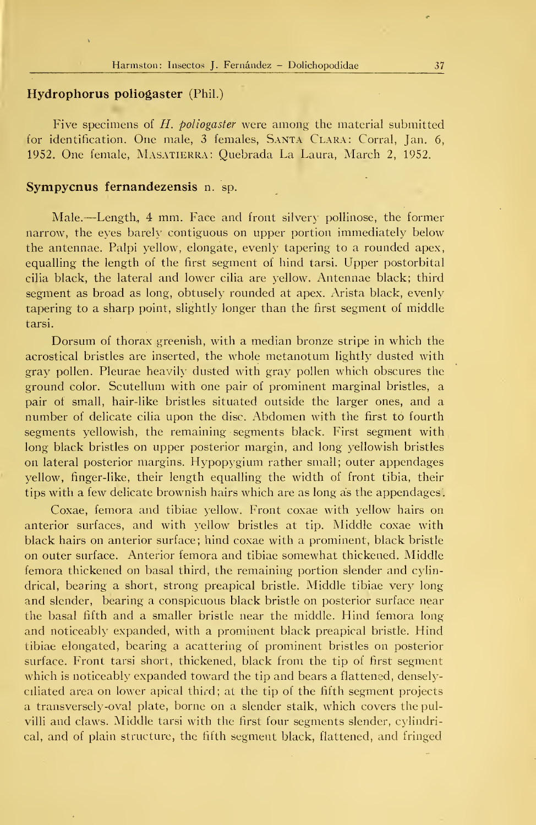### Hydrophorus poliogaster (Phil.)

Five specimens of  $H$ . poliogaster were among the material submitted for identification. One male, <sup>3</sup> females, Santa Clara: Corral, Jan. 6, 1952. One female, Masatierra: Quebrada La Laura, March 2, 1952.

#### Sympycnus fernandezensis n. sp.

Male. —Length, <sup>4</sup> mm. Face and front silvery pollinose, the former narrow, the eyes barely contiguous on upper portion immediately below the antennae. Palpi yellow, elongate, evenly tapering to a rounded apex, equalling the length of the first segment oí hind tarsi. Upper postorbital cilia black, the lateral and lower cilla are yellow. Antennae black; third segment as broad as long, obtusely rounded at apex. Arista black, evenly tapering to a sharp point, slightly longer than the first segment of middle tarsi.

Dorsum of thorax greenish, with a median bronze stripe in which the acrostical bristles are inserted, the whole metanotum lightly dusted with gray pollen. Pleurae heavily dusted with gray pollen which obscures the ground color. Scutellum with one pair of prominent marginal bristles, a pair of small, hair-like bristles situated outside the larger ones, and a number of delicate cilia upon the disc. Abdomen with the first tó fourth segments yellowish, the remaining segments black. First segment with long black bristles on upper posterior margin, and long yellowish bristles on lateral posterior margins. Hypopygium rather small; outer appendages yellow, finger-like, their length equalling the width of front tibia, their tips with a few delicate brownish hairs which are as long as the appendages.

Coxae, femora and tibiae yellow. Front coxae with yellow hairs on anterior surfaces, and with yellow bristles at tip. Middle coxae with black hairs on anterior surface; hind coxae with a prominent, black bristle on outer surface. Anterior femora and tibiae somewhat thickened. Middle femora thickened on basal third, the remaining portion slender and cylindrical, bearing a short, strong preapical bristle. Middle tibiae very long and slender, bearing a conspicuous black bristle on posterior surface near the basal fifth and a smaller bristle near the middle. Hind femora long and noticeably expanded, with a prominent black preapical bristle. Hind tibiae elongated, bearing a acattering of prominent bristles on posterior surface. Front tarsi short, thickened, black from the tip of first segment which is noticeably expanded toward the tip and bears a flattened, denselyciliated área on lower apical third; at the tip of the fifth segment projects a transversely-oval píate, borne on a slender stalk, which covers the pulvilli and claws. Middle tarsi with the first four segments slender, cylindrical, and of plain structure, the fifth segment black, flattened, and fringed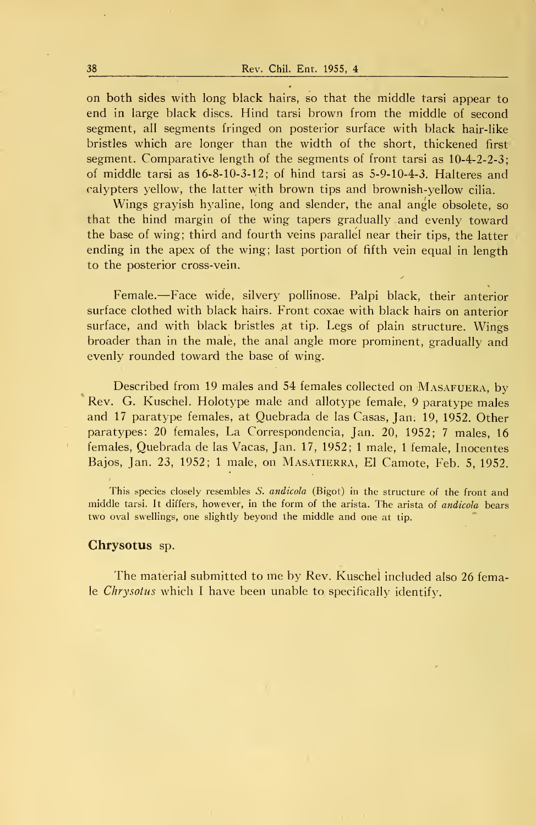on both sides with long black hairs, so that the middle tarsi appear to end in large black discs. Hind tarsi brown from the middle of second segment, all segments fringed on posterior surface with black hair-like bristles which are longer than the width of the short, thickened first segment. Comparative length of the segments of front tarsi as 10-4-2-2-3; of middle tarsi as 16-8-10-3-12; of hind tarsi as 5-9-10-4-3. Halteres and ralypters yellow, the latter with brown tips and brownish-yellow cilia.

Wings grayish hyaline, long and slender, the anal angle obsolete, so that the hind margin of the wing tapers gradually and evenly toward the base of wing; third and fourth veins parallel near their tips, the latter ending in the apex of the wing; last portion of fifth vein equal in length to the posterior cross-vein.

Female.—Face wide, silvery pollinose. Palpi black, their anterior surface clothed with black hairs. Front coxae with black hairs on anterior surface, and with black bristles at tip. Legs of plain structure. Wings broader than in the male, the anal angle more prominent, gradually and evenly rounded toward the base of wing.

Described from 19 males and 54 females collected on MASAFUERA, by Rev. G. Kuschel. Holotype male and allotype female, 9 paratype males and 17 paratype females, at Quebrada de las Casas, Jan. 19, 1952. Other paratypes: 20 females, La Correspondencia, Jan. 20, 1952; <sup>7</sup> males, 16 females. Quebrada de las Vacas, Jan. 17, 1952; <sup>1</sup> male, <sup>1</sup> female, Inocentes Bajos, Jan. 23, 1952; <sup>1</sup> male, on Masatierra, El Camote, Feb. 5, 1952.

This species closely resembles S. andicola (Bigot) in the structure of the front and middle tarsi. It differs, however, in the form of the arista. The arista of andícola bears two oval swellings, one slightly beyond the middle and one at tip.

#### Chrysotus sp.

The material submitted to me by Rev. Kuschel included also <sup>26</sup> female *Chrysotus* which I have been unable to specifically identify.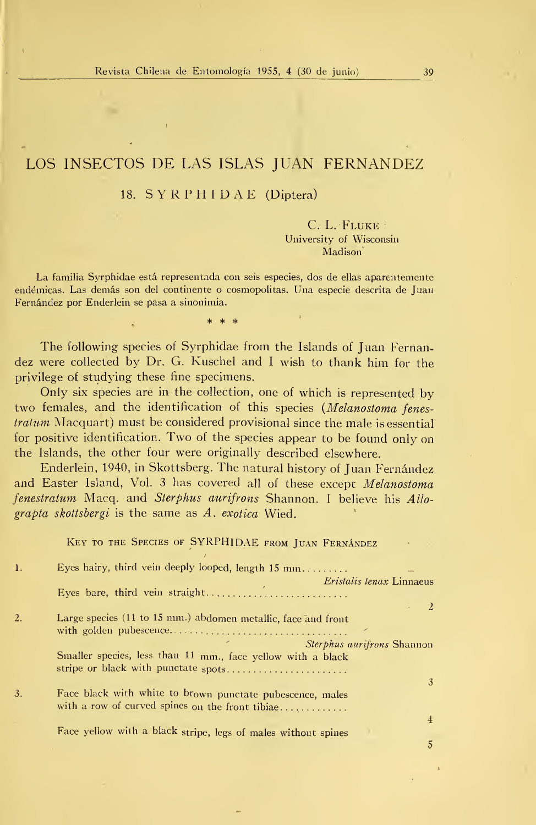# LOS INSECTOS DE LAS ISLAS JUAN FERNANDEZ

#### 18. S Y R P H <sup>I</sup> D A E (Díptera)

C. L. Fluke • University of Wisconsin Madison

La familia Syrphidae está representada con seis especies, dos de ellas aparentemente endémicas. Las demás son del continente o cosmopolitas. Una especie descrita de Juan Fernández por Enderlein se pasa a sinonimia.

The following species of Syrphidae from the Islands of Juan Fernandez were collected by Dr. G. Kuschel and <sup>I</sup> wish to thank him for the privilege of studying these fine specimens.

Only six species are in the collection, one of which is represented by two females, and the identification of this species (Melanostoma fenes tratum Macquart) must be considered provisional since the male is essential for positive identification. Two of the species appear to be found only on the Islands, the other four were originally described elsewhere.

Enderlein, 1940, in Skottsberg. The natural history of Juan Fernández and Easter Island, Vol. <sup>3</sup> has covered all of these except Melanostoma fenestratum Macq. and Sterphus aurifrons Shannon. I believe his Allograpta skottsbergi is the same as  $\Lambda$ . exotica Wied.

 $K = \frac{1}{\sqrt{2}}$ 

|                  | NEY TO THE SPECIES OF STINT HILDAR FROM JUAN FERNANDEZ                                                       |
|------------------|--------------------------------------------------------------------------------------------------------------|
| $\mathbf{1}$ .   | Eyes hairy, third vein deeply looped, length 15 mm<br>eon-                                                   |
|                  | <i>Eristalis tenax</i> Linnaeus                                                                              |
|                  | Eyes bare, third vein straight                                                                               |
|                  | <sup>2</sup>                                                                                                 |
| $\overline{2}$ . | Large species (11 to 15 mm.) abdomen metallic, face and front                                                |
|                  | <i>Sterphus aurifrons</i> Shannon                                                                            |
|                  | Smaller species, less than 11 mm., face yellow with a black<br>stripe or black with punctate spots           |
|                  | 3                                                                                                            |
| 3.               | Face black with white to brown punctate pubescence, males<br>with a row of curved spines on the front tibiae |
|                  |                                                                                                              |
|                  | 4                                                                                                            |
|                  | Face yellow with a black stripe, legs of males without spines                                                |
|                  |                                                                                                              |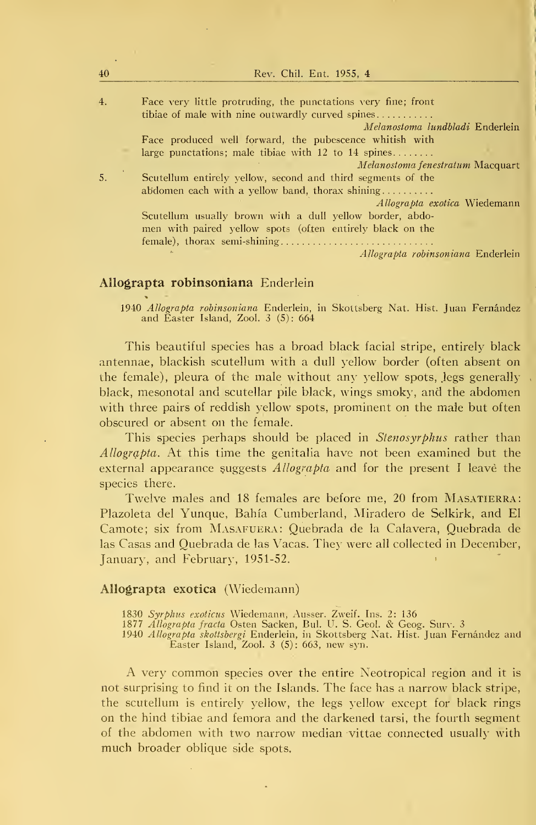| 40 | Rev. Chil. Ent. 1955, 4                                                                                                                               |
|----|-------------------------------------------------------------------------------------------------------------------------------------------------------|
| 4. | Face very little protruding, the punctations very fine; front<br>tibiae of male with nine outwardly curved spines<br>Melanostoma lundbladi Enderlein  |
|    | Face produced well forward, the pubescence whitish with                                                                                               |
|    | large punctations; male tibiae with 12 to 14 spines<br><i>Melanostoma fenestratum</i> Macquart                                                        |
| 5. | Scutellum entirely yellow, second and third segments of the<br>abdomen each with a yellow band, thorax shining<br><i>Allograpta exotica</i> Wiedemann |
|    | Scutellum usually brown with a dull yellow border, abdo-<br>men with paired yellow spots (often entirely black on the                                 |
|    | Allograpta robinsoniana Enderlein<br>z.                                                                                                               |

#### Allograpta robinsoniana Enderlein

1940 Allograpta robinsoniana Enderlein, in Skottsberg Nat. Hist. Juan Fernández and Easter Island, Zool. 3 (5): 664

This beautiful species has a broad black facial stripe, entirely black antennae, blackish scutellum with a dull yellow border (often absent on the female), pleura of the male without any yellow spots, jegs generally black, mesonotal and scutellar pile black, wings smoky, and the abdomen with three pairs of reddish yellow spots, prominent on the male but often obscured or absent on the female.

This species perhaps should be placed in Stenosyrphus rather than Allograpta. At this time the genitalia have not been examined but the external appearance suggests  $Allographa$  and for the present I leave the species there.

Twelve males and 18 females are before me, 20 from MASATIERRA: Plazoleta del Yunque, Bahía Cumberland, Miradero de Selkirk, and El Camote; six from Masafuera: Quebrada de la Calavera, Quebrada de las Casas and Quebrada de las Vacas. They were all collected in December, January, and February, 1951-52.

#### Allograpta exotica (Wiedemann)

1830 *Syrphus exoticus* Wiedemann, Ausser. Zweif. Ins. 2: 136<br>1877 *Allograpta fracta* Osten Sacken, Bul. U. S. Geol. & Geog. Surv. 3

1940 *Allograpta skottsbergi* Enderlein, in Skottsberg Nat. Hist. Juan Fernández and .<br>Easter Island, Zool. 3 (5): 663, new syn.

A very common species over the entire Neotropical región and it is not surprising to find it on the Islands. The face has a narrow black stripe, the scutellum is entirely yellow, the legs yellow except for black rings on the hind tibiae and femora and the darkened tarsi, the fourth segment of the abdomen with two narrow median vittae connected usually with much broader oblique side spots.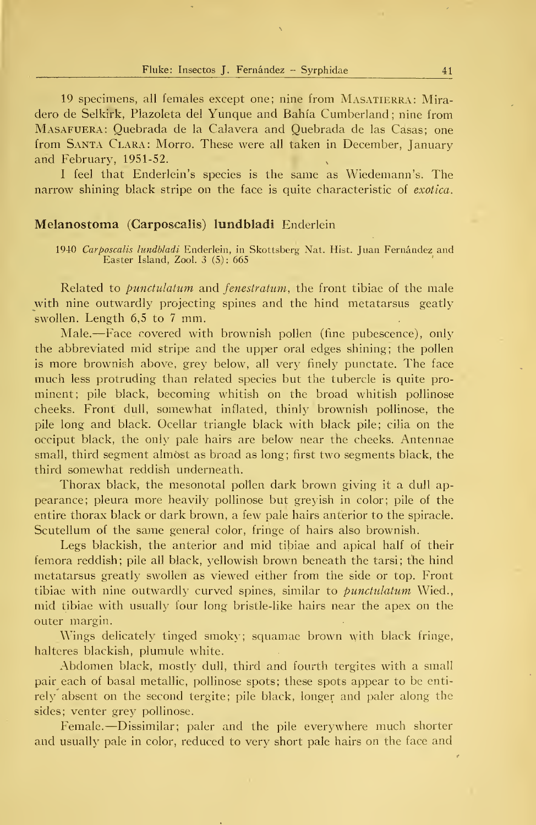Fluke: Insectos J. Fernández - Syrphidae 41

19 specimens, all females except one; nine from MASATIERRA: Miradero de Selkirk, Plazoleta del Yunque and Bahía Cumberland ; nine from Masafuera: Quebrada de la Calavera and Quebrada de las Casas; one from Santa Clara: Morro. These were all taken in December, January and February, 1951-52.

<sup>I</sup> feel that Enderlein's species is the same as Wiedemann's. The narrow shining black stripe on the face is quite characteristic of exotica.

#### Melanostoma (Carposcalis) lundbladi Enderlein

1940 *Carposcalis lundbladi E*nderlein, in Skottsberg Nat. Hist. Juan Fernández and<br>Easter Island, Zool. 3 (5): 665

Related to *punctulatum* and *fenestratum*, the front tibiae of the male with nine outwardly projecting spines and the hind metatarsus geatly swollen. Length  $6,5$  to 7 mm.

Male. —Face covered with brownish pollen (fine pubescence), only the abbreviated mid stripe and the upper oral edges shining; the pollen is more brownish above, grey below, all very finely punctate. The face much less protruding than related species but the tubercle is quite pro minent; pile black, becoming whitish on the broad whitish pollinose cheeks. Front dull, somewhat inflated, thinly brownish pollinose, the pile long and black. Ocellar triangle black with black pile; cilia on the occiput black, the only palé hairs are below near the cheeks. Antennae small, third segment almost as broad as long; first two segments black, the third somewhat reddish underneath.

Thorax black, the mesonotal pollen dark brown giving it a dull appearance; pleura more heavily pollinose but greyish in color; pile of the entire thorax black or dark brown, a few palé hairs anterior to the spiracle. Scutellum of the same general color, fringe of hairs also brownish.

Legs blackish, the anterior and mid tibiae and apical half of their femora reddish; pile all black, yellowish brown beneath the tarsi; the hind metatarsus greatly swollen as viewed either from the side or top. Front tibiae with nine outwardly curved spines, similar to *bunctulatum* Wied., mid tibiae with usually four long bristle-like hairs near the apex on the outer margin.

Wings delicately tinged smoky; squamae brown with black fringe, halteres blackish, plumule white.

Abdomen black, mostly dull, third and fourth tergites with a small pair each of basal metallic, pollinose spots; these spots appear to be enti rely absent on the second tergite; pile black, longer and paler along the sides; venter grey pollinose.

Female.—Dissimilar; paler and the pile everywhere much shorter and usually palé in color, reduced to very short palé hairs on the face and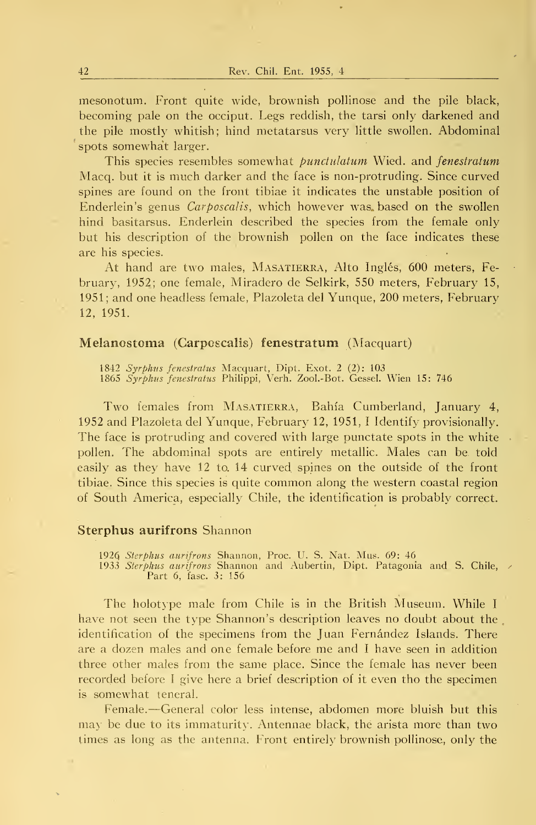mesonotum. Front quite wide, brownish pollinose and the pile black, becoming palé on the occiput. Legs reddish, the tarsi only darkened and the pile mostly whitish; hind metatarsus very little swollen. Abdominal spots somewhát larger.

This species resembles somewhat *punctulatum* Wied. and *fenestratum* Macq. but it is much darker and the face is non-protruding. Since curved spines are found on the front tibiae it indicates the unstable position of Enderlein's genus *Carposcalis*, which however was based on the swollen hind basitarsus. Enderlein described the species from the female only but his description of the brownish pollen on the face indicates these are his species.

At hand are two males, Masatierra, Alto Inglés, 600 meters, Fe bruary, 1952; one female, Miradero de Selkirk, 550 meters, February 15, 1951; and one headless female. Plazoleta del Yunque, 200 meters, February 12, 1951.

#### Melanostoma (Carposcalis) fenestratum (Macquart)

1842 *Syrphus fenestratus* Macquart, Dipt. Exot. 2 (2): 103<br>1865 *Syrphus fenestratus* Philippi, Verh. Zool.-Bot. Gessel. Wien 15: 746

Two females from MASATIERRA, Bahía Cumberland, January 4, 1952 and Plazoleta del Yunque, February 12, 1951, <sup>I</sup> Identify provisionally. The face is protruding and covered with large punctate spots in the white. pollen. The abdominal spots are entirely metallic. Males can be told easily as they have 12 to. 14 curved spines on the outside of the front tibiae. Since this species is quite common along the western coastal región of South America, especially Chile, the Identification is probably correct.

#### Sterphus aurifrons Shannon

1926 *Sterphus aurifrons* Shannon, Proc. U. S. Nat. Mus. 69: 46<br>1933 *Sterphus aurifrons* Shannon and Aubertin, Dipt. Patagonia and S. Chile, A<br>Part 6, fase. 3: 156

The holotype male from Chile is in the British Museum. While <sup>I</sup> have not seen the type Shannon's description leaves no doubt about the identification of the specimens from the Juan Fernández Islands. There are a dozen males and one female before me and <sup>I</sup> have seen in addition three other males from the same place. Since the female has never been recorded before I give here a brief description of it even tho the specimen is somewhat teneral.

Female. —General color less intense, abdomen more bluish but this may be due to its immaturity. Antennae black, the arista more than two times as long as the antenna. Front entirely brownish pollinose, only the